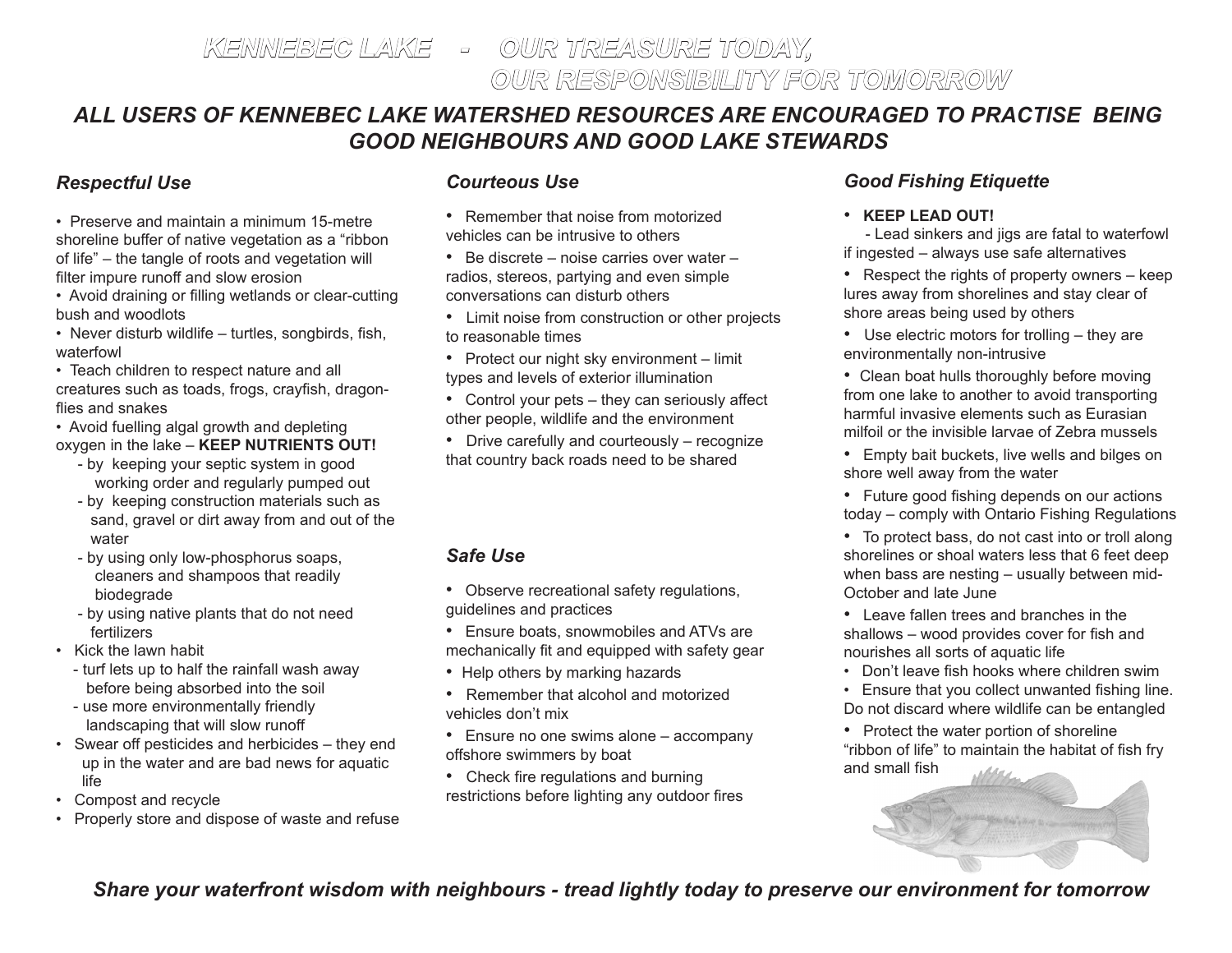# *ALL USERS OF KENNEBEC LAKE WATERSHED RESOURCES ARE ENCOURAGED TO PRACTISE BEING GOOD NEIGHBOURS AND GOOD LAKE STEWARDS*

#### *Respectful Use*

• Preserve and maintain a minimum 15-metre shoreline buffer of native vegetation as a "ribbon of life" – the tangle of roots and vegetation will filter impure runoff and slow erosion

• Avoid draining or filling wetlands or clear-cutting bush and woodlots

• Never disturb wildlife – turtles, songbirds, fish, waterfowl

• Teach children to respect nature and all creatures such as toads, frogs, crayfish, dragonflies and snakes

• Avoid fuelling algal growth and depleting oxygen in the lake – **KEEP NUTRIENTS OUT!**

- by keeping your septic system in good working order and regularly pumped out
- by keeping construction materials such as sand, gravel or dirt away from and out of the water
- by using only low-phosphorus soaps, cleaners and shampoos that readily biodegrade
- by using native plants that do not need fertilizers

• Kick the lawn habit

- turf lets up to half the rainfall wash away before being absorbed into the soil
- use more environmentally friendly landscaping that will slow runoff
- Swear off pesticides and herbicides they end up in the water and are bad news for aquatic life
- Compost and recycle
- Properly store and dispose of waste and refuse

#### *Courteous Use*

- Remember that noise from motorized vehicles can be intrusive to others
- Be discrete noise carries over water radios, stereos, partying and even simple conversations can disturb others
- Limit noise from construction or other projects to reasonable times
- Protect our night sky environment limit types and levels of exterior illumination
- Control your pets they can seriously affect other people, wildlife and the environment
- Drive carefully and courteously recognize that country back roads need to be shared

## *Safe Use*

- Observe recreational safety regulations, guidelines and practices
- Ensure boats, snowmobiles and ATVs are mechanically fit and equipped with safety gear
- Help others by marking hazards
- Remember that alcohol and motorized vehicles don't mix
- Ensure no one swims alone accompany offshore swimmers by boat
- Check fire regulations and burning restrictions before lighting any outdoor fires

## *Good Fishing Etiquette*

#### • **KEEP LEAD OUT!**

 - Lead sinkers and jigs are fatal to waterfowl if ingested – always use safe alternatives

- Respect the rights of property owners keep lures away from shorelines and stay clear of shore areas being used by others
- Use electric motors for trolling they are environmentally non-intrusive
- Clean boat hulls thoroughly before moving from one lake to another to avoid transporting harmful invasive elements such as Eurasian milfoil or the invisible larvae of Zebra mussels
- Empty bait buckets, live wells and bilges on shore well away from the water
- Future good fishing depends on our actions today – comply with Ontario Fishing Regulations
- To protect bass, do not cast into or troll along shorelines or shoal waters less that 6 feet deep when bass are nesting – usually between mid-October and late June
- Leave fallen trees and branches in the shallows – wood provides cover for fish and nourishes all sorts of aquatic life
- Don't leave fish hooks where children swim
- Ensure that you collect unwanted fishing line. Do not discard where wildlife can be entangled
- Protect the water portion of shoreline "ribbon of life" to maintain the habitat of fish fry and small fish



## *Share your waterfront wisdom with neighbours - tread lightly today to preserve our environment for tomorrow*